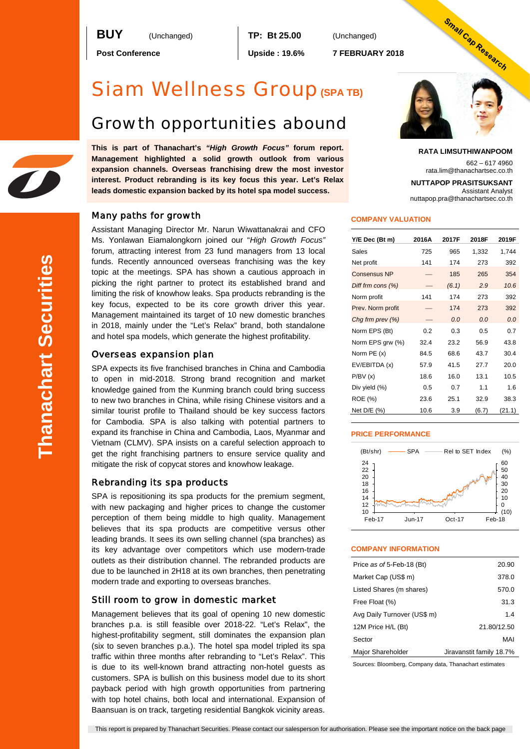**BUY** (Unchanged) **TP: Bt 25.00** (Unchanged)

**Post Conference Upside : 19.6% 7 FEBRUARY 2018**

# Siam Wellness Group**(SPA TB)**

# Growth opportunities abound

**This is part of Thanachart's** *"High Growth Focus"* **forum report. Management highlighted a solid growth outlook from various expansion channels. Overseas franchising drew the most investor interest. Product rebranding is its key focus this year. Let's Relax leads domestic expansion backed by its hotel spa model success.**

# Many paths for growth

Assistant Managing Director Mr. Narun Wiwattanakrai and CFO Ms. Yonlawan Eiamalongkorn joined our "*High Growth Focus"* forum, attracting interest from 23 fund managers from 13 local funds. Recently announced overseas franchising was the key topic at the meetings. SPA has shown a cautious approach in picking the right partner to protect its established brand and limiting the risk of knowhow leaks. Spa products rebranding is the key focus, expected to be its core growth driver this year. Management maintained its target of 10 new domestic branches in 2018, mainly under the "Let's Relax" brand, both standalone and hotel spa models, which generate the highest profitability.

# Overseas expansion plan

SPA expects its five franchised branches in China and Cambodia to open in mid-2018. Strong brand recognition and market knowledge gained from the Kunming branch could bring success to new two branches in China, while rising Chinese visitors and a similar tourist profile to Thailand should be key success factors for Cambodia. SPA is also talking with potential partners to expand its franchise in China and Cambodia, Laos, Myanmar and Vietnam (CLMV). SPA insists on a careful selection approach to get the right franchising partners to ensure service quality and mitigate the risk of copycat stores and knowhow leakage.

# Rebranding its spa products

SPA is repositioning its spa products for the premium segment, with new packaging and higher prices to change the customer perception of them being middle to high quality. Management believes that its spa products are competitive versus other leading brands. It sees its own selling channel (spa branches) as its key advantage over competitors which use modern-trade outlets as their distribution channel. The rebranded products are due to be launched in 2H18 at its own branches, then penetrating modern trade and exporting to overseas branches.

## Still room to grow in domestic market

Management believes that its goal of opening 10 new domestic branches p.a. is still feasible over 2018-22. "Let's Relax", the highest-profitability segment, still dominates the expansion plan (six to seven branches p.a.). The hotel spa model tripled its spa traffic within three months after rebranding to "Let's Relax". This is due to its well-known brand attracting non-hotel guests as customers. SPA is bullish on this business model due to its short payback period with high growth opportunities from partnering with top hotel chains, both local and international. Expansion of Baansuan is on track, targeting residential Bangkok vicinity areas.



#### **RATA LIMSUTHIWANPOOM**

662 – 617 4960 rata.lim@thanachartsec.co.th

**NUTTAPOP PRASITSUKSANT** Assistant Analyst nuttapop.pra@thanachartsec.co.th

## **COMPANY VALUATION**

| Y/E Dec (Bt m)      | 2016A | 2017F | 2018F | 2019F  |
|---------------------|-------|-------|-------|--------|
| Sales               | 725   | 965   | 1,332 | 1,744  |
| Net profit          | 141   | 174   | 273   | 392    |
| <b>Consensus NP</b> |       | 185   | 265   | 354    |
| Diff frm cons (%)   |       | (6.1) | 2.9   | 10.6   |
| Norm profit         | 141   | 174   | 273   | 392    |
| Prev. Norm profit   |       | 174   | 273   | 392    |
| Chg frm prev $(\%)$ |       | 0.0   | 0.0   | 0.0    |
| Norm EPS (Bt)       | 0.2   | 0.3   | 0.5   | 0.7    |
| Norm EPS grw (%)    | 32.4  | 23.2  | 56.9  | 43.8   |
| Norm PE (x)         | 84.5  | 68.6  | 43.7  | 30.4   |
| EV/EBITDA (x)       | 57.9  | 41.5  | 27.7  | 20.0   |
| P/BV(x)             | 18.6  | 16.0  | 13.1  | 10.5   |
| Div yield (%)       | 0.5   | 0.7   | 11    | 1.6    |
| ROE (%)             | 23.6  | 25.1  | 32.9  | 38.3   |
| Net D/E (%)         | 10.6  | 3.9   | (6.7) | (21.1) |

#### **PRICE PERFORMANCE**



### **COMPANY INFORMATION**

| Price as of 5-Feb-18 (Bt)   | 20.90                    |
|-----------------------------|--------------------------|
| Market Cap (US\$ m)         | 378.0                    |
| Listed Shares (m shares)    | 570.0                    |
| Free Float (%)              | 31.3                     |
| Avg Daily Turnover (US\$ m) | 1.4                      |
| 12M Price H/L (Bt)          | 21.80/12.50              |
| Sector                      | MAI                      |
| Major Shareholder           | Jiravanstit family 18.7% |

Sources: Bloomberg, Company data, Thanachart estimates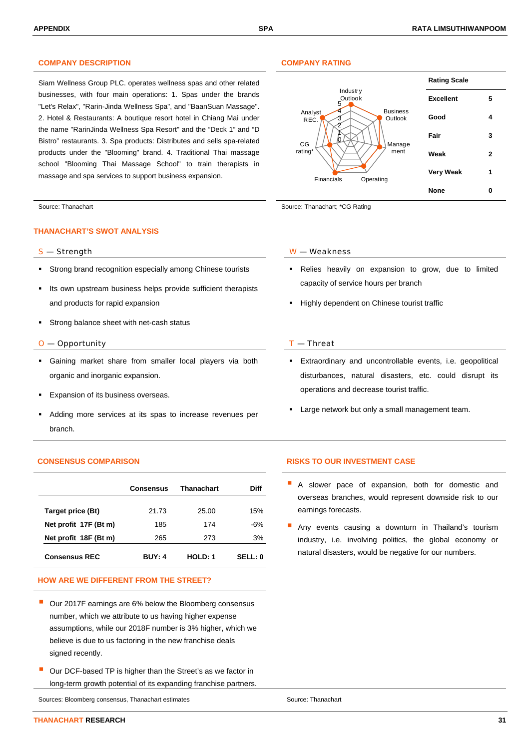# **COMPANY DESCRIPTION COMPANY RATING**

Siam Wellness Group PLC. operates wellness spas and other related businesses, with four main operations: 1. Spas under the brands "Let's Relax", "Rarin-Jinda Wellness Spa", and "BaanSuan Massage". 2. Hotel & Restaurants: A boutique resort hotel in Chiang Mai under the name "RarinJinda Wellness Spa Resort" and the "Deck 1" and "D Bistro" restaurants. 3. Spa products: Distributes and sells spa-related products under the "Blooming" brand. 4. Traditional Thai massage school "Blooming Thai Massage School" to train therapists in massage and spa services to support business expansion.

### **THANACHART'S SWOT ANALYSIS**

- Strong brand recognition especially among Chinese tourists
- Its own upstream business helps provide sufficient therapists and products for rapid expansion
- Strong balance sheet with net-cash status

#### $O$  — Opportunity  $I$  — Threat

- Gaining market share from smaller local players via both organic and inorganic expansion.
- Expansion of its business overseas.
- Adding more services at its spas to increase revenues per branch.

|                       | <b>Consensus</b> | Thanachart     | Diff           |
|-----------------------|------------------|----------------|----------------|
| Target price (Bt)     | 21.73            | 25.00          | 15%            |
| Net profit 17F (Bt m) | 185              | 174            | -6%            |
| Net profit 18F (Bt m) | 265              | 273            | 3%             |
| <b>Consensus REC</b>  | <b>BUY: 4</b>    | <b>HOLD: 1</b> | <b>SELL: 0</b> |

# **HOW ARE WE DIFFERENT FROM THE STREET?**

- Our 2017F earnings are 6% below the Bloomberg consensus number, which we attribute to us having higher expense assumptions, while our 2018F number is 3% higher, which we believe is due to us factoring in the new franchise deals signed recently.
- Our DCF-based TP is higher than the Street's as we factor in long-term growth potential of its expanding franchise partners.

Sources: Bloomberg consensus, Thanachart estimates Source: Thanachart estimates Source: Thanachart



Source: Thanachart Source: Thanachart Source: Thanachart; \*CG Rating

#### S — Strength W — Weakness

- Relies heavily on expansion to grow, due to limited capacity of service hours per branch
- **Highly dependent on Chinese tourist traffic**

- Extraordinary and uncontrollable events, i.e. geopolitical disturbances, natural disasters, etc. could disrupt its operations and decrease tourist traffic.
- Large network but only a small management team.

### **CONSENSUS COMPARISON RISKS TO OUR INVESTMENT CASE**

- A slower pace of expansion, both for domestic and overseas branches, would represent downside risk to our earnings forecasts.
- Any events causing a downturn in Thailand's tourism industry, i.e. involving politics, the global economy or natural disasters, would be negative for our numbers.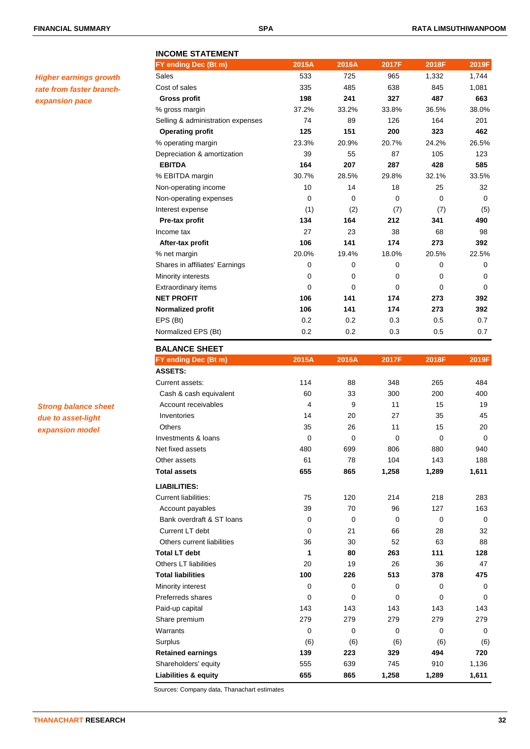# **INCOME STATEMENT**

| <b>Higher earnings growth</b> |
|-------------------------------|
| rate from faster branch-      |
| expansion pace                |

| Sales                             | 533         | 725      | 965      | 1,332    | 1,744    |
|-----------------------------------|-------------|----------|----------|----------|----------|
| Cost of sales                     | 335         | 485      | 638      | 845      | 1,081    |
| <b>Gross profit</b>               | 198         | 241      | 327      | 487      | 663      |
| % gross margin                    | 37.2%       | 33.2%    | 33.8%    | 36.5%    | 38.0%    |
| Selling & administration expenses | 74          | 89       | 126      | 164      | 201      |
| <b>Operating profit</b>           | 125         | 151      | 200      | 323      | 462      |
| % operating margin                | 23.3%       | 20.9%    | 20.7%    | 24.2%    | 26.5%    |
| Depreciation & amortization       | 39          | 55       | 87       | 105      | 123      |
| <b>EBITDA</b>                     | 164         | 207      | 287      | 428      | 585      |
| % EBITDA margin                   | 30.7%       | 28.5%    | 29.8%    | 32.1%    | 33.5%    |
| Non-operating income              | 10          | 14       | 18       | 25       | 32       |
| Non-operating expenses            | $\mathbf 0$ | $\Omega$ | $\Omega$ | $\Omega$ | $\Omega$ |
| Interest expense                  | (1)         | (2)      | (7)      | (7)      | (5)      |
| Pre-tax profit                    | 134         | 164      | 212      | 341      | 490      |
| Income tax                        | 27          | 23       | 38       | 68       | 98       |
| After-tax profit                  | 106         | 141      | 174      | 273      | 392      |
| % net margin                      | 20.0%       | 19.4%    | 18.0%    | 20.5%    | 22.5%    |
| Shares in affiliates' Earnings    | 0           | $\Omega$ | $\Omega$ | $\Omega$ | $\Omega$ |
| Minority interests                | $\mathbf 0$ | $\Omega$ | $\Omega$ | $\Omega$ | 0        |
| Extraordinary items               | $\mathbf 0$ | $\Omega$ | $\Omega$ | $\Omega$ | $\Omega$ |
| <b>NET PROFIT</b>                 | 106         | 141      | 174      | 273      | 392      |
| Normalized profit                 | 106         | 141      | 174      | 273      | 392      |
| EPS (Bt)                          | 0.2         | 0.2      | 0.3      | 0.5      | 0.7      |
| Normalized EPS (Bt)               | 0.2         | 0.2      | 0.3      | 0.5      | 0.7      |
| <b>BALANCE SHEET</b>              |             |          |          |          |          |
| FY ending Dec (Bt m)              | 2015A       | 2016A    | 2017F    | 2018F    | 2019F    |
| <b>ASSETS:</b>                    |             |          |          |          |          |
|                                   |             |          |          |          |          |

**FY ending Dec (Bt m) 2015A 2016A 2017F 2018F 2019F**

| <b>Strong balance sheet</b> |
|-----------------------------|
| due to asset-light          |
| expansion model             |

| FY ending Dec (Bt m)         | 2015A          | 2016A        | 2017F    | 2018F        | 2019F       |
|------------------------------|----------------|--------------|----------|--------------|-------------|
| <b>ASSETS:</b>               |                |              |          |              |             |
| Current assets:              | 114            | 88           | 348      | 265          | 484         |
| Cash & cash equivalent       | 60             | 33           | 300      | 200          | 400         |
| Account receivables          | $\overline{4}$ | 9            | 11       | 15           | 19          |
| Inventories                  | 14             | 20           | 27       | 35           | 45          |
| Others                       | 35             | 26           | 11       | 15           | 20          |
| Investments & loans          | $\mathbf 0$    | $\mathbf{0}$ | $\Omega$ | $\Omega$     | $\Omega$    |
| Net fixed assets             | 480            | 699          | 806      | 880          | 940         |
| Other assets                 | 61             | 78           | 104      | 143          | 188         |
| <b>Total assets</b>          | 655            | 865          | 1,258    | 1,289        | 1,611       |
| <b>LIABILITIES:</b>          |                |              |          |              |             |
| <b>Current liabilities:</b>  | 75             | 120          | 214      | 218          | 283         |
| Account payables             | 39             | 70           | 96       | 127          | 163         |
| Bank overdraft & ST loans    | $\mathbf 0$    | $\Omega$     | $\Omega$ | 0            | 0           |
| Current LT debt              | $\mathbf 0$    | 21           | 66       | 28           | 32          |
| Others current liabilities   | 36             | 30           | 52       | 63           | 88          |
| <b>Total LT debt</b>         | 1              | 80           | 263      | 111          | 128         |
| <b>Others LT liabilities</b> | 20             | 19           | 26       | 36           | 47          |
| <b>Total liabilities</b>     | 100            | 226          | 513      | 378          | 475         |
| Minority interest            | 0              | 0            | 0        | 0            | 0           |
| Preferreds shares            | 0              | $\mathbf{0}$ | $\Omega$ | $\mathbf{0}$ | $\Omega$    |
| Paid-up capital              | 143            | 143          | 143      | 143          | 143         |
| Share premium                | 279            | 279          | 279      | 279          | 279         |
| Warrants                     | 0              | 0            | $\Omega$ | $\mathbf{0}$ | $\mathbf 0$ |
| Surplus                      | (6)            | (6)          | (6)      | (6)          | (6)         |
| <b>Retained earnings</b>     | 139            | 223          | 329      | 494          | 720         |
| Shareholders' equity         | 555            | 639          | 745      | 910          | 1,136       |
| Liabilities & equity         | 655            | 865          | 1,258    | 1,289        | 1,611       |

Sources: Company data, Thanachart estimates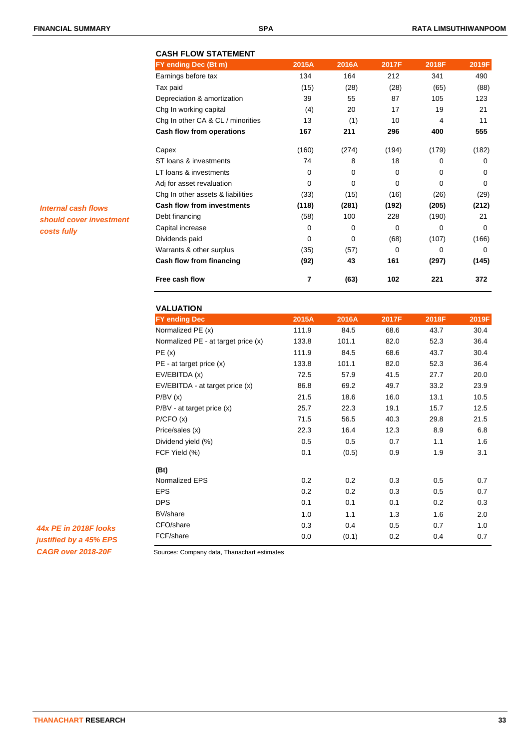|                   | <b>CASH FLOW STATEMENT</b>        |          |          |       |       |             |
|-------------------|-----------------------------------|----------|----------|-------|-------|-------------|
|                   | FY ending Dec (Bt m)              | 2015A    | 2016A    | 2017F | 2018F | 2019F       |
|                   | Earnings before tax               | 134      | 164      | 212   | 341   | 490         |
|                   | Tax paid                          | (15)     | (28)     | (28)  | (65)  | (88)        |
|                   | Depreciation & amortization       | 39       | 55       | 87    | 105   | 123         |
|                   | Chg In working capital            | (4)      | 20       | 17    | 19    | 21          |
|                   | Chg In other CA & CL / minorities | 13       | (1)      | 10    | 4     | 11          |
|                   | Cash flow from operations         | 167      | 211      | 296   | 400   | 555         |
|                   | Capex                             | (160)    | (274)    | (194) | (179) | (182)       |
|                   | ST loans & investments            | 74       | 8        | 18    | 0     | $\Omega$    |
|                   | LT loans & investments            | 0        | $\Omega$ | 0     | 0     | $\Omega$    |
|                   | Adj for asset revaluation         | 0        | 0        | 0     | 0     | $\mathbf 0$ |
|                   | Chg In other assets & liabilities | (33)     | (15)     | (16)  | (26)  | (29)        |
| flows             | <b>Cash flow from investments</b> | (118)    | (281)    | (192) | (205) | (212)       |
| <i>investment</i> | Debt financing                    | (58)     | 100      | 228   | (190) | 21          |
|                   | Capital increase                  | 0        | 0        | 0     | 0     | $\Omega$    |
|                   | Dividends paid                    | $\Omega$ | $\Omega$ | (68)  | (107) | (166)       |
|                   | Warrants & other surplus          | (35)     | (57)     | 0     | 0     | $\Omega$    |
|                   | Cash flow from financing          | (92)     | 43       | 161   | (297) | (145)       |
|                   | Free cash flow                    | 7        | (63)     | 102   | 221   | 372         |

| <b>VALUATION</b>                    |       |       |       |       |       |
|-------------------------------------|-------|-------|-------|-------|-------|
| <b>FY ending Dec</b>                | 2015A | 2016A | 2017F | 2018F | 2019F |
| Normalized PE (x)                   | 111.9 | 84.5  | 68.6  | 43.7  | 30.4  |
| Normalized PE - at target price (x) | 133.8 | 101.1 | 82.0  | 52.3  | 36.4  |
| PE(x)                               | 111.9 | 84.5  | 68.6  | 43.7  | 30.4  |
| $PE$ - at target price $(x)$        | 133.8 | 101.1 | 82.0  | 52.3  | 36.4  |
| EV/EBITDA (x)                       | 72.5  | 57.9  | 41.5  | 27.7  | 20.0  |
| EV/EBITDA - at target price (x)     | 86.8  | 69.2  | 49.7  | 33.2  | 23.9  |
| P/BV(x)                             | 21.5  | 18.6  | 16.0  | 13.1  | 10.5  |
| $P/BV - at target price (x)$        | 25.7  | 22.3  | 19.1  | 15.7  | 12.5  |
| P/CFO(x)                            | 71.5  | 56.5  | 40.3  | 29.8  | 21.5  |
| Price/sales (x)                     | 22.3  | 16.4  | 12.3  | 8.9   | 6.8   |
| Dividend yield (%)                  | 0.5   | 0.5   | 0.7   | 1.1   | 1.6   |
| FCF Yield (%)                       | 0.1   | (0.5) | 0.9   | 1.9   | 3.1   |
| (Bt)                                |       |       |       |       |       |
| Normalized EPS                      | 0.2   | 0.2   | 0.3   | 0.5   | 0.7   |
| <b>EPS</b>                          | 0.2   | 0.2   | 0.3   | 0.5   | 0.7   |
| <b>DPS</b>                          | 0.1   | 0.1   | 0.1   | 0.2   | 0.3   |
| BV/share                            | 1.0   | 1.1   | 1.3   | 1.6   | 2.0   |
| CFO/share                           | 0.3   | 0.4   | 0.5   | 0.7   | 1.0   |
| FCF/share                           | 0.0   | (0.1) | 0.2   | 0.4   | 0.7   |
|                                     |       |       |       |       |       |

*Internal cash* should cover *costs fully*

*44x PE in 2018F looks justified by a 45% EPS CAGR over 2018-20F*

Sources: Company data, Thanachart estimates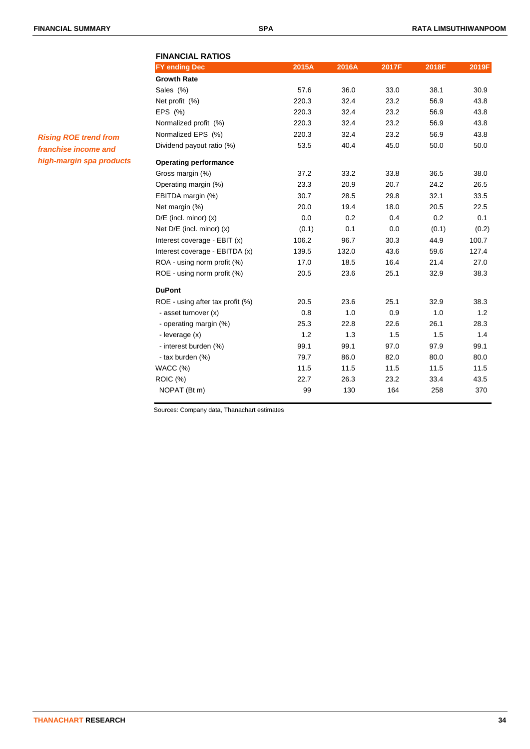| <b>FINANCIAL RATIOS</b>          |       |       |       |       |       |
|----------------------------------|-------|-------|-------|-------|-------|
| <b>FY ending Dec</b>             | 2015A | 2016A | 2017F | 2018F | 2019F |
| <b>Growth Rate</b>               |       |       |       |       |       |
| Sales (%)                        | 57.6  | 36.0  | 33.0  | 38.1  | 30.9  |
| Net profit (%)                   | 220.3 | 32.4  | 23.2  | 56.9  | 43.8  |
| EPS (%)                          | 220.3 | 32.4  | 23.2  | 56.9  | 43.8  |
| Normalized profit (%)            | 220.3 | 32.4  | 23.2  | 56.9  | 43.8  |
| Normalized EPS (%)               | 220.3 | 32.4  | 23.2  | 56.9  | 43.8  |
| Dividend payout ratio (%)        | 53.5  | 40.4  | 45.0  | 50.0  | 50.0  |
| <b>Operating performance</b>     |       |       |       |       |       |
| Gross margin (%)                 | 37.2  | 33.2  | 33.8  | 36.5  | 38.0  |
| Operating margin (%)             | 23.3  | 20.9  | 20.7  | 24.2  | 26.5  |
| EBITDA margin (%)                | 30.7  | 28.5  | 29.8  | 32.1  | 33.5  |
| Net margin (%)                   | 20.0  | 19.4  | 18.0  | 20.5  | 22.5  |
| $D/E$ (incl. minor) $(x)$        | 0.0   | 0.2   | 0.4   | 0.2   | 0.1   |
| Net $D/E$ (incl. minor) $(x)$    | (0.1) | 0.1   | 0.0   | (0.1) | (0.2) |
| Interest coverage - EBIT (x)     | 106.2 | 96.7  | 30.3  | 44.9  | 100.7 |
| Interest coverage - EBITDA (x)   | 139.5 | 132.0 | 43.6  | 59.6  | 127.4 |
| ROA - using norm profit (%)      | 17.0  | 18.5  | 16.4  | 21.4  | 27.0  |
| ROE - using norm profit (%)      | 20.5  | 23.6  | 25.1  | 32.9  | 38.3  |
| <b>DuPont</b>                    |       |       |       |       |       |
| ROE - using after tax profit (%) | 20.5  | 23.6  | 25.1  | 32.9  | 38.3  |
| - asset turnover (x)             | 0.8   | 1.0   | 0.9   | 1.0   | 1.2   |
| - operating margin (%)           | 25.3  | 22.8  | 22.6  | 26.1  | 28.3  |
| - leverage (x)                   | 1.2   | 1.3   | 1.5   | 1.5   | 1.4   |
| - interest burden (%)            | 99.1  | 99.1  | 97.0  | 97.9  | 99.1  |
| - tax burden (%)                 | 79.7  | 86.0  | 82.0  | 80.0  | 80.0  |
| WACC (%)                         | 11.5  | 11.5  | 11.5  | 11.5  | 11.5  |
| <b>ROIC (%)</b>                  | 22.7  | 26.3  | 23.2  | 33.4  | 43.5  |
| NOPAT (Bt m)                     | 99    | 130   | 164   | 258   | 370   |

Sources: Company data, Thanachart estimates

# *Rising ROE trend from franchise income and high-margin spa products*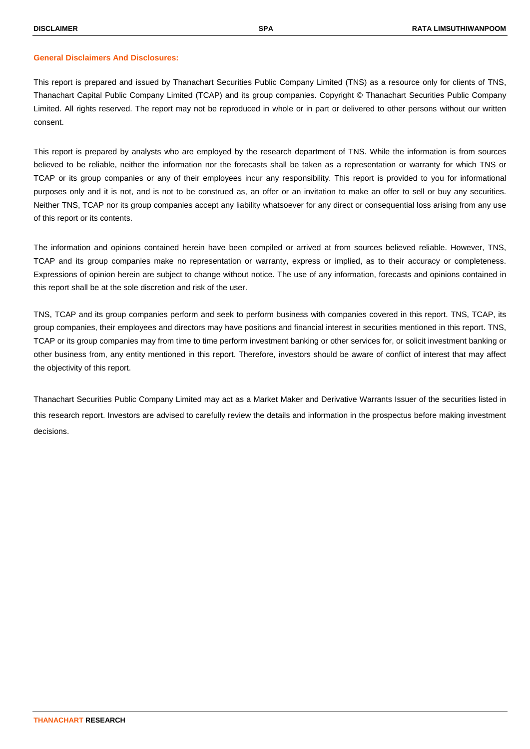### **General Disclaimers And Disclosures:**

This report is prepared and issued by Thanachart Securities Public Company Limited (TNS) as a resource only for clients of TNS, Thanachart Capital Public Company Limited (TCAP) and its group companies. Copyright © Thanachart Securities Public Company Limited. All rights reserved. The report may not be reproduced in whole or in part or delivered to other persons without our written consent.

This report is prepared by analysts who are employed by the research department of TNS. While the information is from sources believed to be reliable, neither the information nor the forecasts shall be taken as a representation or warranty for which TNS or TCAP or its group companies or any of their employees incur any responsibility. This report is provided to you for informational purposes only and it is not, and is not to be construed as, an offer or an invitation to make an offer to sell or buy any securities. Neither TNS, TCAP nor its group companies accept any liability whatsoever for any direct or consequential loss arising from any use of this report or its contents.

The information and opinions contained herein have been compiled or arrived at from sources believed reliable. However, TNS, TCAP and its group companies make no representation or warranty, express or implied, as to their accuracy or completeness. Expressions of opinion herein are subject to change without notice. The use of any information, forecasts and opinions contained in this report shall be at the sole discretion and risk of the user.

TNS, TCAP and its group companies perform and seek to perform business with companies covered in this report. TNS, TCAP, its group companies, their employees and directors may have positions and financial interest in securities mentioned in this report. TNS, TCAP or its group companies may from time to time perform investment banking or other services for, or solicit investment banking or other business from, any entity mentioned in this report. Therefore, investors should be aware of conflict of interest that may affect the objectivity of this report.

Thanachart Securities Public Company Limited may act as a Market Maker and Derivative Warrants Issuer of the securities listed in this research report. Investors are advised to carefully review the details and information in the prospectus before making investment decisions.